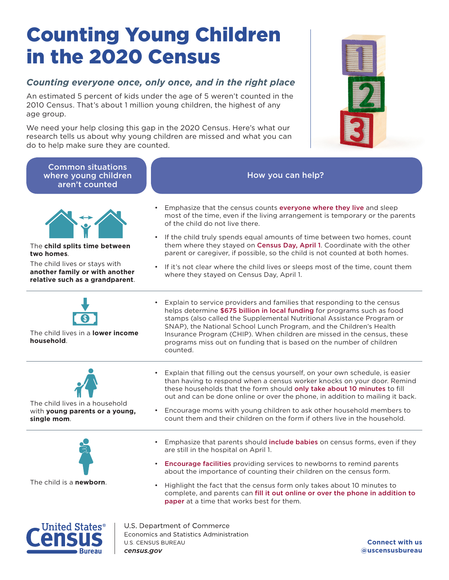## Counting Young Children in the 2020 Census

## *Counting everyone once, only once, and in the right place*

An estimated 5 percent of kids under the age of 5 weren't counted in the 2010 Census. That's about 1 million young children, the highest of any age group.

We need your help closing this gap in the 2020 Census. Here's what our research tells us about why young children are missed and what you can do to help make sure they are counted.



| <b>Common situations</b><br>where young children<br>aren't counted                                                                                | How you can help?                                                                                                                                                                                                                                                                                                                                                                                                                                                                                                                                                            |
|---------------------------------------------------------------------------------------------------------------------------------------------------|------------------------------------------------------------------------------------------------------------------------------------------------------------------------------------------------------------------------------------------------------------------------------------------------------------------------------------------------------------------------------------------------------------------------------------------------------------------------------------------------------------------------------------------------------------------------------|
| The child splits time between<br>two homes.<br>The child lives or stays with<br>another family or with another<br>relative such as a grandparent. | Emphasize that the census counts everyone where they live and sleep<br>most of the time, even if the living arrangement is temporary or the parents<br>of the child do not live there.<br>If the child truly spends equal amounts of time between two homes, count<br>$\bullet$<br>them where they stayed on Census Day, April 1. Coordinate with the other<br>parent or caregiver, if possible, so the child is not counted at both homes.<br>• If it's not clear where the child lives or sleeps most of the time, count them<br>where they stayed on Census Day, April 1. |
| The child lives in a lower income<br>household.                                                                                                   | Explain to service providers and families that responding to the census<br>helps determine \$675 billion in local funding for programs such as food<br>stamps (also called the Supplemental Nutritional Assistance Program or<br>SNAP), the National School Lunch Program, and the Children's Health<br>Insurance Program (CHIP). When children are missed in the census, these<br>programs miss out on funding that is based on the number of children<br>counted.                                                                                                          |
| The child lives in a household<br>with young parents or a young,<br>single mom.                                                                   | Explain that filling out the census yourself, on your own schedule, is easier<br>than having to respond when a census worker knocks on your door. Remind<br>these households that the form should only take about 10 minutes to fill<br>out and can be done online or over the phone, in addition to mailing it back.<br>Encourage moms with young children to ask other household members to<br>$\bullet$<br>count them and their children on the form if others live in the household.                                                                                     |
| The child is a <b>newborn</b> .                                                                                                                   | Emphasize that parents should include babies on census forms, even if they<br>$\bullet$<br>are still in the hospital on April 1.<br>• Encourage facilities providing services to newborns to remind parents<br>about the importance of counting their children on the census form.<br>Highlight the fact that the census form only takes about 10 minutes to<br>complete, and parents can fill it out online or over the phone in addition to<br><b>paper</b> at a time that works best for them.                                                                            |
| U.S. Department of Commerce<br><b>IInited States</b>                                                                                              |                                                                                                                                                                                                                                                                                                                                                                                                                                                                                                                                                                              |

Economics and Statistics Administration U.S. CENSUS BUREAU census.gov

**Connect with us @uscensusbureau**